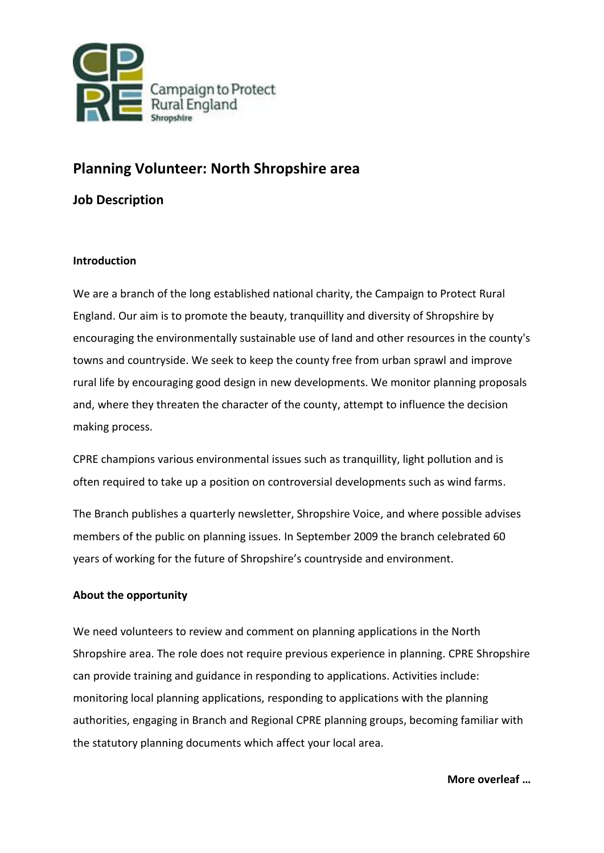

# **Planning Volunteer: North Shropshire area**

## **Job Description**

## **Introduction**

We are a branch of the long established national charity, the Campaign to Protect Rural England. Our aim is to promote the beauty, tranquillity and diversity of Shropshire by encouraging the environmentally sustainable use of land and other resources in the county's towns and countryside. We seek to keep the county free from urban sprawl and improve rural life by encouraging good design in new developments. We monitor planning proposals and, where they threaten the character of the county, attempt to influence the decision making process.

CPRE champions various environmental issues such as tranquillity, light pollution and is often required to take up a position on controversial developments such as wind farms.

The Branch publishes a quarterly newsletter, Shropshire Voice, and where possible advises members of the public on planning issues. In September 2009 the branch celebrated 60 years of working for the future of Shropshire's countryside and environment.

## **About the opportunity**

We need volunteers to review and comment on planning applications in the North Shropshire area. The role does not require previous experience in planning. CPRE Shropshire can provide training and guidance in responding to applications. Activities include: monitoring local planning applications, responding to applications with the planning authorities, engaging in Branch and Regional CPRE planning groups, becoming familiar with the statutory planning documents which affect your local area.

**More overleaf …**